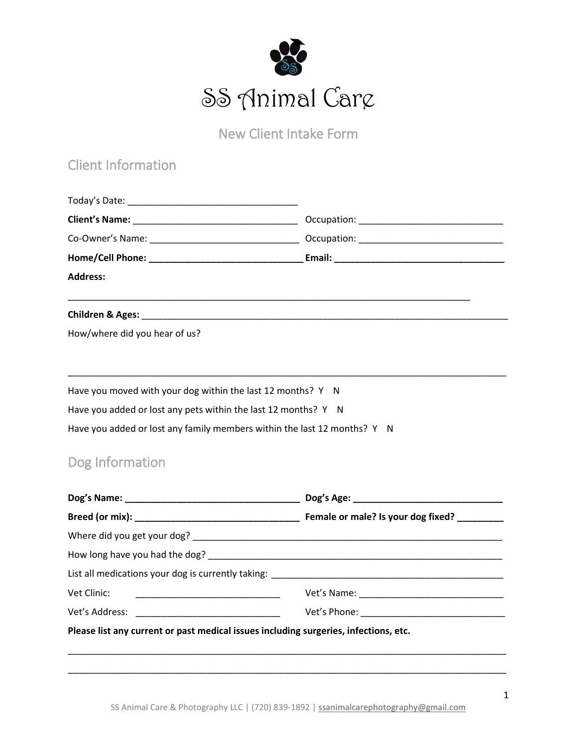

New Client Intake Form

## Client Information

| <b>Address:</b>                                                                                                               |  |
|-------------------------------------------------------------------------------------------------------------------------------|--|
|                                                                                                                               |  |
| How/where did you hear of us?                                                                                                 |  |
| Have you moved with your dog within the last 12 months? Y N<br>Have you added or lost any pets within the last 12 months? Y N |  |
|                                                                                                                               |  |
| Have you added or lost any family members within the last 12 months? Y N                                                      |  |
| Dog Information                                                                                                               |  |
|                                                                                                                               |  |
|                                                                                                                               |  |
|                                                                                                                               |  |
|                                                                                                                               |  |
|                                                                                                                               |  |
| Vet Clinic:                                                                                                                   |  |
|                                                                                                                               |  |
| Please list any current or past medical issues including surgeries, infections, etc.                                          |  |

\_\_\_\_\_\_\_\_\_\_\_\_\_\_\_\_\_\_\_\_\_\_\_\_\_\_\_\_\_\_\_\_\_\_\_\_\_\_\_\_\_\_\_\_\_\_\_\_\_\_\_\_\_\_\_\_\_\_\_\_\_\_\_\_\_\_\_\_\_\_\_\_\_\_\_\_\_\_\_\_\_\_\_\_\_

\_\_\_\_\_\_\_\_\_\_\_\_\_\_\_\_\_\_\_\_\_\_\_\_\_\_\_\_\_\_\_\_\_\_\_\_\_\_\_\_\_\_\_\_\_\_\_\_\_\_\_\_\_\_\_\_\_\_\_\_\_\_\_\_\_\_\_\_\_\_\_\_\_\_\_\_\_\_\_\_\_\_\_\_\_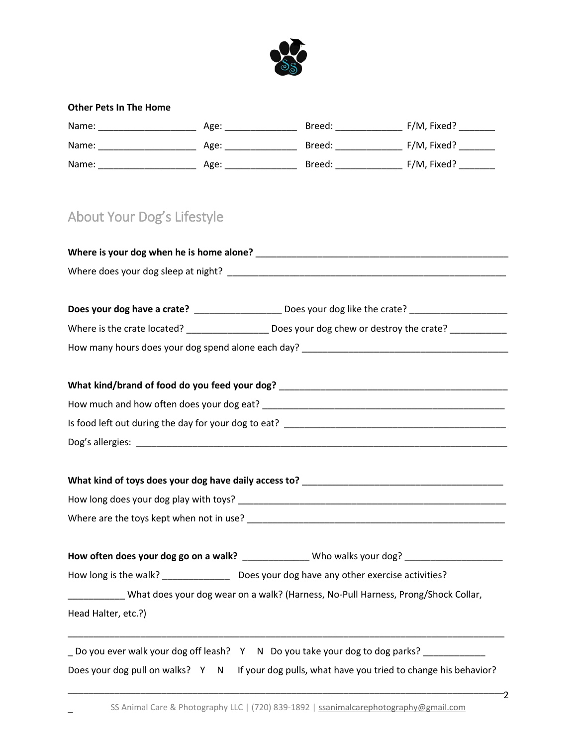

### **Other Pets In The Home**

 $\overline{a}$ 

| Name: | Age: | Breed: | F/M, Fixed? |
|-------|------|--------|-------------|
| Name: | Age: | Breed: | F/M, Fixed? |
| Name: | Age: | Breed: | F/M, Fixed? |

# About Your Dog's Lifestyle

|                     | Does your dog have a crate? ______________________ Does your dog like the crate? _____________________________ |
|---------------------|----------------------------------------------------------------------------------------------------------------|
|                     | Where is the crate located? ____________________ Does your dog chew or destroy the crate? __________           |
|                     |                                                                                                                |
|                     |                                                                                                                |
|                     |                                                                                                                |
|                     |                                                                                                                |
|                     |                                                                                                                |
|                     |                                                                                                                |
|                     |                                                                                                                |
|                     | How often does your dog go on a walk? _______________ Who walks your dog? ____________________                 |
|                     | How long is the walk? __________________ Does your dog have any other exercise activities?                     |
|                     | _______________ What does your dog wear on a walk? (Harness, No-Pull Harness, Prong/Shock Collar,              |
| Head Halter, etc.?) |                                                                                                                |
|                     | _ Do you ever walk your dog off leash? Y N Do you take your dog to dog parks? _____________                    |
|                     | Does your dog pull on walks? Y N If your dog pulls, what have you tried to change his behavior?                |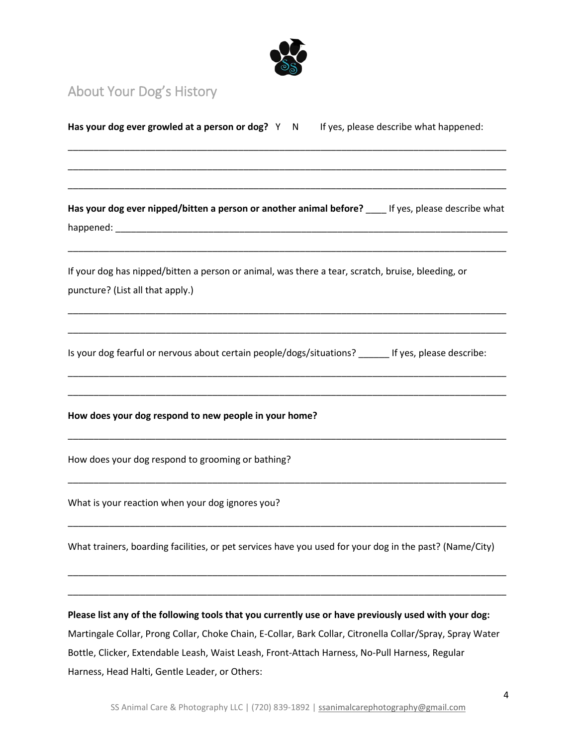

# About Your Dog's History

| Has your dog ever growled at a person or dog? Y N If yes, please describe what happened:                                              |
|---------------------------------------------------------------------------------------------------------------------------------------|
|                                                                                                                                       |
| Has your dog ever nipped/bitten a person or another animal before? ____ If yes, please describe what                                  |
| If your dog has nipped/bitten a person or animal, was there a tear, scratch, bruise, bleeding, or<br>puncture? (List all that apply.) |
| Is your dog fearful or nervous about certain people/dogs/situations? ______ If yes, please describe:                                  |
| How does your dog respond to new people in your home?                                                                                 |
| How does your dog respond to grooming or bathing?                                                                                     |
| What is your reaction when your dog ignores you?                                                                                      |
| What trainers, boarding facilities, or pet services have you used for your dog in the past? (Name/City)                               |
| Please list any of the following tools that you currently use or have previously used with your dog:                                  |
| Martingale Collar, Prong Collar, Choke Chain, E-Collar, Bark Collar, Citronella Collar/Spray, Spray Water                             |
| Bottle, Clicker, Extendable Leash, Waist Leash, Front-Attach Harness, No-Pull Harness, Regular                                        |
| Harness, Head Halti, Gentle Leader, or Others:                                                                                        |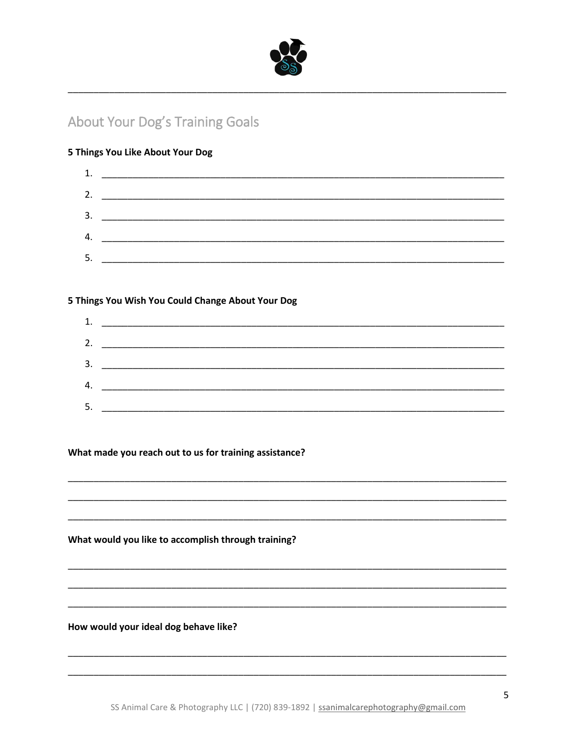

### **About Your Dog's Training Goals**

### 5 Things You Like About Your Dog



### 5 Things You Wish You Could Change About Your Dog



#### What made you reach out to us for training assistance?

What would you like to accomplish through training?

How would your ideal dog behave like?